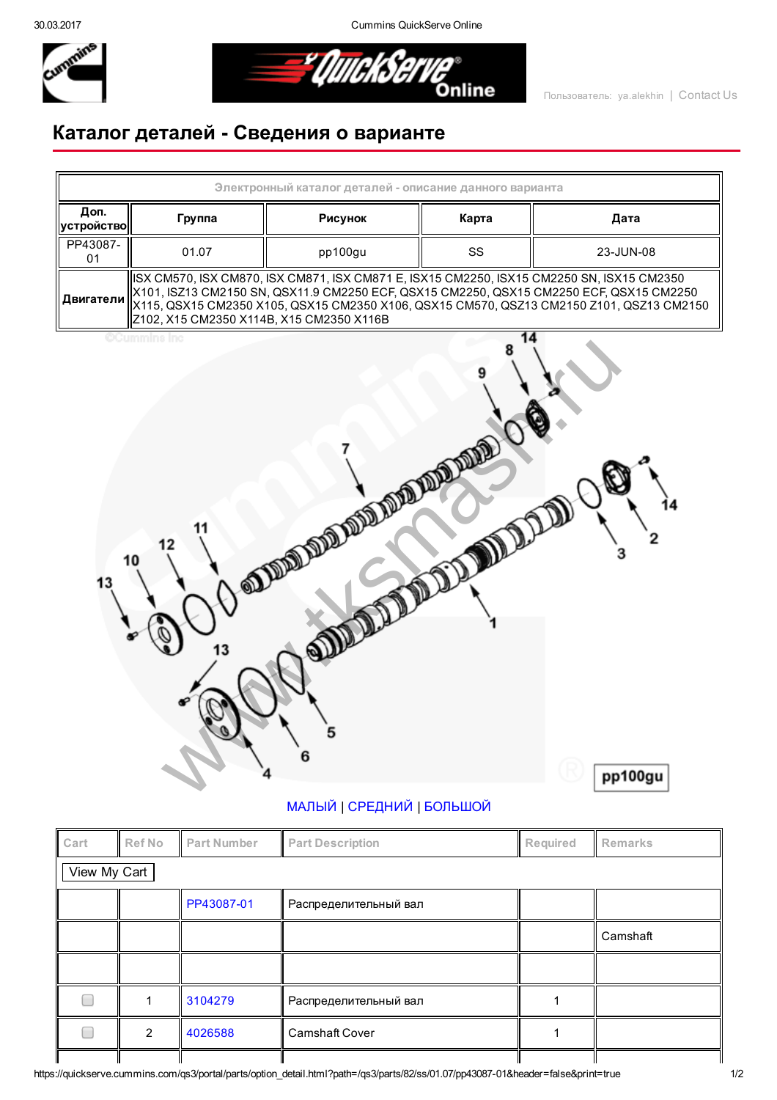30.03.2017 Cummins QuickServe Online



*<del>"I</del>IIIIekser* Online

## Каталог деталей Сведения о варианте



| Cart         | <b>Ref No</b> | <b>Part Number</b> | <b>Part Description</b> | Required | Remarks  |  |  |  |  |
|--------------|---------------|--------------------|-------------------------|----------|----------|--|--|--|--|
| View My Cart |               |                    |                         |          |          |  |  |  |  |
|              |               | PP43087-01         | Распределительный вал   |          |          |  |  |  |  |
|              |               |                    |                         |          | Camshaft |  |  |  |  |
|              |               |                    |                         |          |          |  |  |  |  |
|              |               | 3104279            | Распределительный вал   |          |          |  |  |  |  |
|              | 2             | 4026588            | <b>Camshaft Cover</b>   |          |          |  |  |  |  |
|              |               |                    |                         |          |          |  |  |  |  |